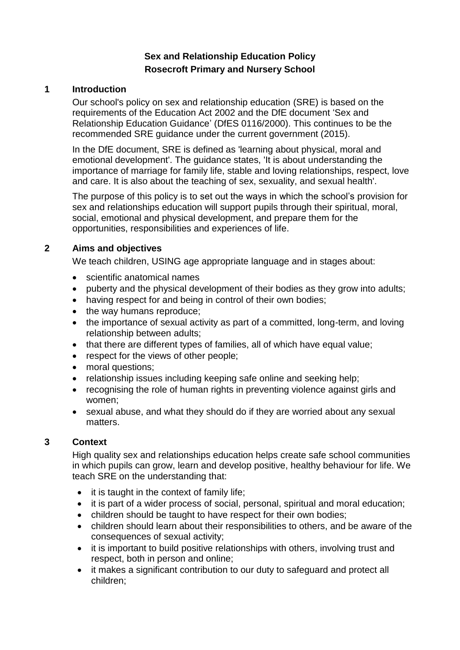# **Sex and Relationship Education Policy Rosecroft Primary and Nursery School**

#### **1 Introduction**

Our school's policy on sex and relationship education (SRE) is based on the requirements of the Education Act 2002 and the DfE document 'Sex and Relationship Education Guidance' (DfES 0116/2000). This continues to be the recommended SRE guidance under the current government (2015).

In the DfE document, SRE is defined as 'learning about physical, moral and emotional development'. The guidance states, 'It is about understanding the importance of marriage for family life, stable and loving relationships, respect, love and care. It is also about the teaching of sex, sexuality, and sexual health'.

The purpose of this policy is to set out the ways in which the school's provision for sex and relationships education will support pupils through their spiritual, moral, social, emotional and physical development, and prepare them for the opportunities, responsibilities and experiences of life.

#### **2 Aims and objectives**

We teach children, USING age appropriate language and in stages about:

- scientific anatomical names
- puberty and the physical development of their bodies as they grow into adults;
- having respect for and being in control of their own bodies;
- the way humans reproduce:
- the importance of sexual activity as part of a committed, long-term, and loving relationship between adults;
- that there are different types of families, all of which have equal value;
- respect for the views of other people;
- moral questions;
- relationship issues including keeping safe online and seeking help;
- recognising the role of human rights in preventing violence against girls and women;
- sexual abuse, and what they should do if they are worried about any sexual matters.

### **3 Context**

High quality sex and relationships education helps create safe school communities in which pupils can grow, learn and develop positive, healthy behaviour for life. We teach SRE on the understanding that:

- $\bullet$  it is taught in the context of family life;
- it is part of a wider process of social, personal, spiritual and moral education;
- children should be taught to have respect for their own bodies;
- children should learn about their responsibilities to others, and be aware of the consequences of sexual activity;
- it is important to build positive relationships with others, involving trust and respect, both in person and online;
- it makes a significant contribution to our duty to safeguard and protect all children;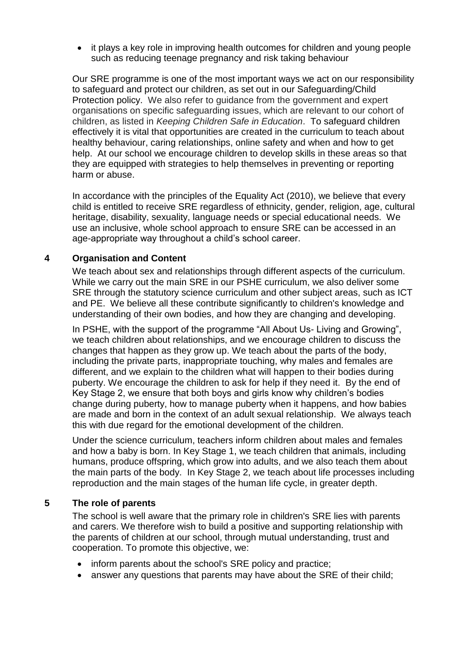it plays a key role in improving health outcomes for children and young people such as reducing teenage pregnancy and risk taking behaviour

Our SRE programme is one of the most important ways we act on our responsibility to safeguard and protect our children, as set out in our Safeguarding/Child Protection policy. We also refer to guidance from the government and expert organisations on specific safeguarding issues, which are relevant to our cohort of children, as listed in *Keeping Children Safe in Education*. To safeguard children effectively it is vital that opportunities are created in the curriculum to teach about healthy behaviour, caring relationships, online safety and when and how to get help. At our school we encourage children to develop skills in these areas so that they are equipped with strategies to help themselves in preventing or reporting harm or abuse.

In accordance with the principles of the Equality Act (2010), we believe that every child is entitled to receive SRE regardless of ethnicity, gender, religion, age, cultural heritage, disability, sexuality, language needs or special educational needs. We use an inclusive, whole school approach to ensure SRE can be accessed in an age-appropriate way throughout a child's school career.

#### **4 Organisation and Content**

We teach about sex and relationships through different aspects of the curriculum. While we carry out the main SRE in our PSHE curriculum, we also deliver some SRE through the statutory science curriculum and other subject areas, such as ICT and PE. We believe all these contribute significantly to children's knowledge and understanding of their own bodies, and how they are changing and developing.

In PSHE, with the support of the programme "All About Us- Living and Growing", we teach children about relationships, and we encourage children to discuss the changes that happen as they grow up. We teach about the parts of the body, including the private parts, inappropriate touching, why males and females are different, and we explain to the children what will happen to their bodies during puberty. We encourage the children to ask for help if they need it. By the end of Key Stage 2, we ensure that both boys and girls know why children's bodies change during puberty, how to manage puberty when it happens, and how babies are made and born in the context of an adult sexual relationship. We always teach this with due regard for the emotional development of the children.

Under the science curriculum, teachers inform children about males and females and how a baby is born. In Key Stage 1, we teach children that animals, including humans, produce offspring, which grow into adults, and we also teach them about the main parts of the body. In Key Stage 2, we teach about life processes including reproduction and the main stages of the human life cycle, in greater depth.

#### **5 The role of parents**

The school is well aware that the primary role in children's SRE lies with parents and carers. We therefore wish to build a positive and supporting relationship with the parents of children at our school, through mutual understanding, trust and cooperation. To promote this objective, we:

- inform parents about the school's SRE policy and practice;
- answer any questions that parents may have about the SRE of their child;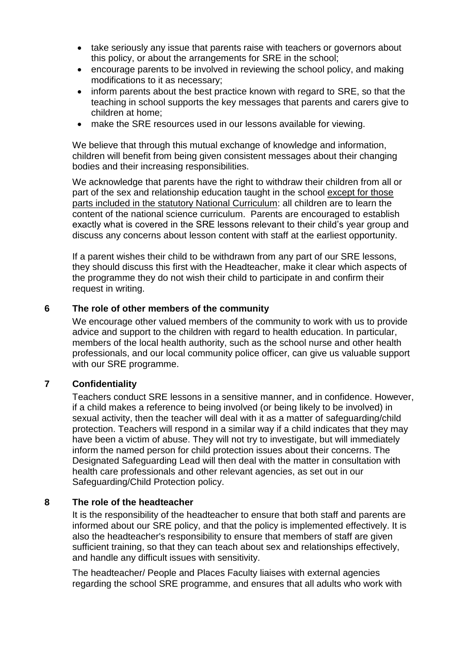- take seriously any issue that parents raise with teachers or governors about this policy, or about the arrangements for SRE in the school;
- encourage parents to be involved in reviewing the school policy, and making modifications to it as necessary;
- inform parents about the best practice known with regard to SRE, so that the teaching in school supports the key messages that parents and carers give to children at home;
- make the SRE resources used in our lessons available for viewing.

We believe that through this mutual exchange of knowledge and information, children will benefit from being given consistent messages about their changing bodies and their increasing responsibilities.

We acknowledge that parents have the right to withdraw their children from all or part of the sex and relationship education taught in the school except for those parts included in the statutory National Curriculum: all children are to learn the content of the national science curriculum. Parents are encouraged to establish exactly what is covered in the SRE lessons relevant to their child's year group and discuss any concerns about lesson content with staff at the earliest opportunity.

If a parent wishes their child to be withdrawn from any part of our SRE lessons, they should discuss this first with the Headteacher, make it clear which aspects of the programme they do not wish their child to participate in and confirm their request in writing.

### **6 The role of other members of the community**

We encourage other valued members of the community to work with us to provide advice and support to the children with regard to health education. In particular, members of the local health authority, such as the school nurse and other health professionals, and our local community police officer, can give us valuable support with our SRE programme.

#### **7 Confidentiality**

Teachers conduct SRE lessons in a sensitive manner, and in confidence. However, if a child makes a reference to being involved (or being likely to be involved) in sexual activity, then the teacher will deal with it as a matter of safeguarding/child protection. Teachers will respond in a similar way if a child indicates that they may have been a victim of abuse. They will not try to investigate, but will immediately inform the named person for child protection issues about their concerns. The Designated Safeguarding Lead will then deal with the matter in consultation with health care professionals and other relevant agencies, as set out in our Safeguarding/Child Protection policy.

#### **8 The role of the headteacher**

It is the responsibility of the headteacher to ensure that both staff and parents are informed about our SRE policy, and that the policy is implemented effectively. It is also the headteacher's responsibility to ensure that members of staff are given sufficient training, so that they can teach about sex and relationships effectively, and handle any difficult issues with sensitivity.

The headteacher/ People and Places Faculty liaises with external agencies regarding the school SRE programme, and ensures that all adults who work with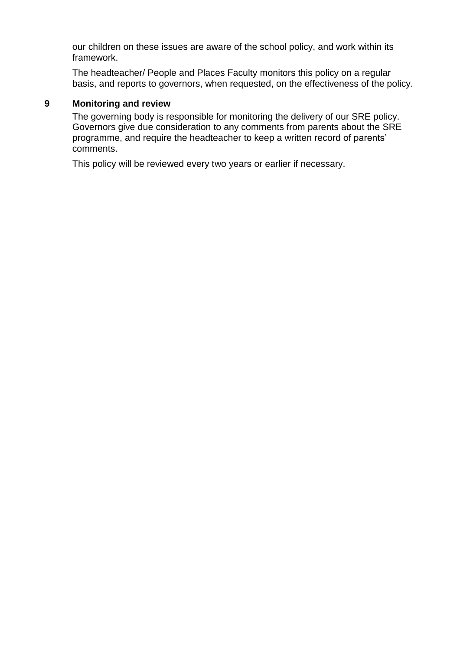our children on these issues are aware of the school policy, and work within its framework.

The headteacher/ People and Places Faculty monitors this policy on a regular basis, and reports to governors, when requested, on the effectiveness of the policy.

## **9 Monitoring and review**

The governing body is responsible for monitoring the delivery of our SRE policy. Governors give due consideration to any comments from parents about the SRE programme, and require the headteacher to keep a written record of parents' comments.

This policy will be reviewed every two years or earlier if necessary.